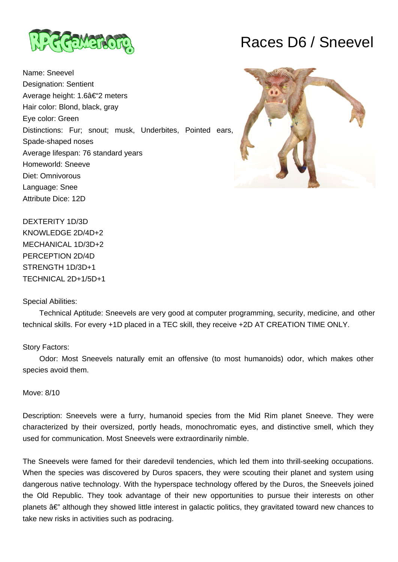

Name: Sneevel Designation: Sentient Average height: 1.6â€"2 meters Hair color: Blond, black, gray Eye color: Green Distinctions: Fur; snout; musk, Underbites, Pointed ears, Spade-shaped noses Average lifespan: 76 standard years Homeworld: Sneeve Diet: Omnivorous Language: Snee Attribute Dice: 12D

# Races D6 / Sneevel



DEXTERITY 1D/3D KNOWLEDGE 2D/4D+2 MECHANICAL 1D/3D+2 PERCEPTION 2D/4D STRENGTH 1D/3D+1 TECHNICAL 2D+1/5D+1

# Special Abilities:

 Technical Aptitude: Sneevels are very good at computer programming, security, medicine, and other technical skills. For every +1D placed in a TEC skill, they receive +2D AT CREATION TIME ONLY.

# Story Factors:

 Odor: Most Sneevels naturally emit an offensive (to most humanoids) odor, which makes other species avoid them.

## Move: 8/10

Description: Sneevels were a furry, humanoid species from the Mid Rim planet Sneeve. They were characterized by their oversized, portly heads, monochromatic eyes, and distinctive smell, which they used for communication. Most Sneevels were extraordinarily nimble.

The Sneevels were famed for their daredevil tendencies, which led them into thrill-seeking occupations. When the species was discovered by Duros spacers, they were scouting their planet and system using dangerous native technology. With the hyperspace technology offered by the Duros, the Sneevels joined the Old Republic. They took advantage of their new opportunities to pursue their interests on other planets  $\hat{a} \in \mathbb{Z}$  although they showed little interest in galactic politics, they gravitated toward new chances to take new risks in activities such as podracing.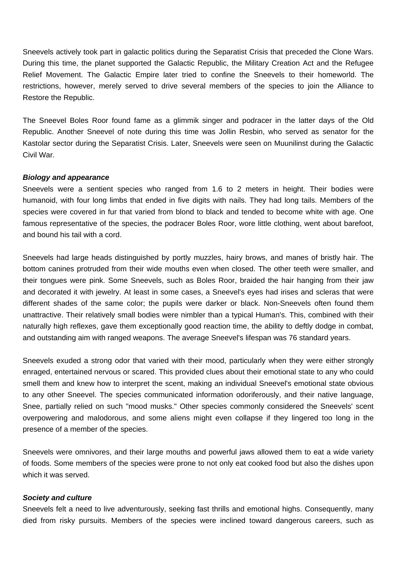Sneevels actively took part in galactic politics during the Separatist Crisis that preceded the Clone Wars. During this time, the planet supported the Galactic Republic, the Military Creation Act and the Refugee Relief Movement. The Galactic Empire later tried to confine the Sneevels to their homeworld. The restrictions, however, merely served to drive several members of the species to join the Alliance to Restore the Republic.

The Sneevel Boles Roor found fame as a glimmik singer and podracer in the latter days of the Old Republic. Another Sneevel of note during this time was Jollin Resbin, who served as senator for the Kastolar sector during the Separatist Crisis. Later, Sneevels were seen on Muunilinst during the Galactic Civil War.

## **Biology and appearance**

Sneevels were a sentient species who ranged from 1.6 to 2 meters in height. Their bodies were humanoid, with four long limbs that ended in five digits with nails. They had long tails. Members of the species were covered in fur that varied from blond to black and tended to become white with age. One famous representative of the species, the podracer Boles Roor, wore little clothing, went about barefoot, and bound his tail with a cord.

Sneevels had large heads distinguished by portly muzzles, hairy brows, and manes of bristly hair. The bottom canines protruded from their wide mouths even when closed. The other teeth were smaller, and their tongues were pink. Some Sneevels, such as Boles Roor, braided the hair hanging from their jaw and decorated it with jewelry. At least in some cases, a Sneevel's eyes had irises and scleras that were different shades of the same color; the pupils were darker or black. Non-Sneevels often found them unattractive. Their relatively small bodies were nimbler than a typical Human's. This, combined with their naturally high reflexes, gave them exceptionally good reaction time, the ability to deftly dodge in combat, and outstanding aim with ranged weapons. The average Sneevel's lifespan was 76 standard years.

Sneevels exuded a strong odor that varied with their mood, particularly when they were either strongly enraged, entertained nervous or scared. This provided clues about their emotional state to any who could smell them and knew how to interpret the scent, making an individual Sneevel's emotional state obvious to any other Sneevel. The species communicated information odoriferously, and their native language, Snee, partially relied on such "mood musks." Other species commonly considered the Sneevels' scent overpowering and malodorous, and some aliens might even collapse if they lingered too long in the presence of a member of the species.

Sneevels were omnivores, and their large mouths and powerful jaws allowed them to eat a wide variety of foods. Some members of the species were prone to not only eat cooked food but also the dishes upon which it was served.

#### **Society and culture**

Sneevels felt a need to live adventurously, seeking fast thrills and emotional highs. Consequently, many died from risky pursuits. Members of the species were inclined toward dangerous careers, such as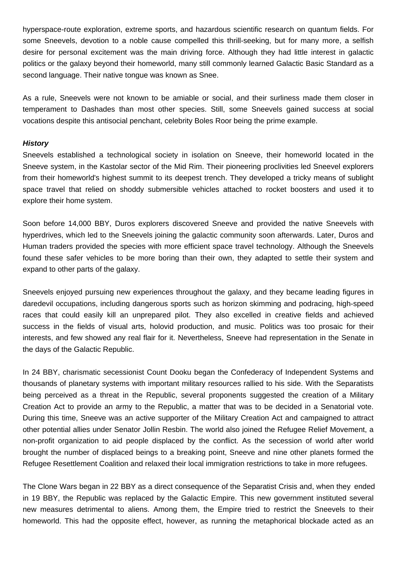hyperspace-route exploration, extreme sports, and hazardous scientific research on quantum fields. For some Sneevels, devotion to a noble cause compelled this thrill-seeking, but for many more, a selfish desire for personal excitement was the main driving force. Although they had little interest in galactic politics or the galaxy beyond their homeworld, many still commonly learned Galactic Basic Standard as a second language. Their native tongue was known as Snee.

As a rule, Sneevels were not known to be amiable or social, and their surliness made them closer in temperament to Dashades than most other species. Still, some Sneevels gained success at social vocations despite this antisocial penchant, celebrity Boles Roor being the prime example.

# **History**

Sneevels established a technological society in isolation on Sneeve, their homeworld located in the Sneeve system, in the Kastolar sector of the Mid Rim. Their pioneering proclivities led Sneevel explorers from their homeworld's highest summit to its deepest trench. They developed a tricky means of sublight space travel that relied on shoddy submersible vehicles attached to rocket boosters and used it to explore their home system.

Soon before 14,000 BBY, Duros explorers discovered Sneeve and provided the native Sneevels with hyperdrives, which led to the Sneevels joining the galactic community soon afterwards. Later, Duros and Human traders provided the species with more efficient space travel technology. Although the Sneevels found these safer vehicles to be more boring than their own, they adapted to settle their system and expand to other parts of the galaxy.

Sneevels enjoyed pursuing new experiences throughout the galaxy, and they became leading figures in daredevil occupations, including dangerous sports such as horizon skimming and podracing, high-speed races that could easily kill an unprepared pilot. They also excelled in creative fields and achieved success in the fields of visual arts, holovid production, and music. Politics was too prosaic for their interests, and few showed any real flair for it. Nevertheless, Sneeve had representation in the Senate in the days of the Galactic Republic.

In 24 BBY, charismatic secessionist Count Dooku began the Confederacy of Independent Systems and thousands of planetary systems with important military resources rallied to his side. With the Separatists being perceived as a threat in the Republic, several proponents suggested the creation of a Military Creation Act to provide an army to the Republic, a matter that was to be decided in a Senatorial vote. During this time, Sneeve was an active supporter of the Military Creation Act and campaigned to attract other potential allies under Senator Jollin Resbin. The world also joined the Refugee Relief Movement, a non-profit organization to aid people displaced by the conflict. As the secession of world after world brought the number of displaced beings to a breaking point, Sneeve and nine other planets formed the Refugee Resettlement Coalition and relaxed their local immigration restrictions to take in more refugees.

The Clone Wars began in 22 BBY as a direct consequence of the Separatist Crisis and, when they ended in 19 BBY, the Republic was replaced by the Galactic Empire. This new government instituted several new measures detrimental to aliens. Among them, the Empire tried to restrict the Sneevels to their homeworld. This had the opposite effect, however, as running the metaphorical blockade acted as an